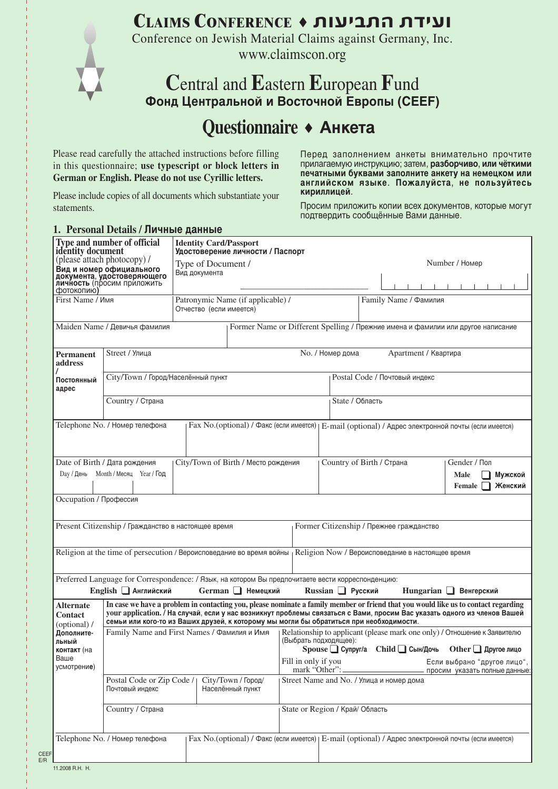**CLAIMS CONFERENCE** ˜ **˙ÂÚÈ·˙‰†˙"ÈÚÂ**

Conference on Jewish Material Claims against Germany, Inc. www.claimscon.org

## **C**entral and **E**astern **E**uropean **F**und **Ajyl Wtynhfkmyjq b Djcnjxyjq Tdhjgs !CEEF@**

## **Questionnaire** • **AHKETA**

Please read carefully the attached instructions before filling in this questionnaire; **use typescript or block letters in German or English. Please do not use Cyrillic letters.**

Please include copies of all documents which substantiate your statements.

**1. Personal Details / Личные данные** 

Перед заполнением анкеты внимательно прочтите прилагаемую инструкцию; затем, разборчиво, или чёткими печатными буквами заполните анкету на немецком или английском языке. Пожалуйста, не пользуйтесь кириллицей.

Просим приложить копии всех документов, которые могут подтвердить сообщённые Вами данные.

| dentity document                                                                                           | Type and number of official                                                          |                                     | <b>Identity Card/Passport</b><br>Удостоверение личности / Паспорт                                                                                                                                                                                                                                                                                         |                                          |  |                                                              |  |                                                                                                        |                      |                                                                                  |
|------------------------------------------------------------------------------------------------------------|--------------------------------------------------------------------------------------|-------------------------------------|-----------------------------------------------------------------------------------------------------------------------------------------------------------------------------------------------------------------------------------------------------------------------------------------------------------------------------------------------------------|------------------------------------------|--|--------------------------------------------------------------|--|--------------------------------------------------------------------------------------------------------|----------------------|----------------------------------------------------------------------------------|
|                                                                                                            | (please attach photocopy) /                                                          | Type of Document /<br>Вид документа |                                                                                                                                                                                                                                                                                                                                                           |                                          |  | Number / Номер                                               |  |                                                                                                        |                      |                                                                                  |
| фотокопию)                                                                                                 | Вид и номер официального<br>документа, удостоверяющего<br>личность (просим приложить |                                     |                                                                                                                                                                                                                                                                                                                                                           |                                          |  |                                                              |  |                                                                                                        |                      |                                                                                  |
| First Name / Имя                                                                                           |                                                                                      |                                     | Patronymic Name (if applicable) /<br>Отчество (если имеется)                                                                                                                                                                                                                                                                                              |                                          |  |                                                              |  | Family Name / Фамилия                                                                                  |                      |                                                                                  |
|                                                                                                            | Maiden Name / Девичья фамилия                                                        |                                     |                                                                                                                                                                                                                                                                                                                                                           |                                          |  |                                                              |  |                                                                                                        |                      | Former Name or Different Spelling / Прежние имена и фамилии или другое написание |
| <b>Permanent</b><br>address                                                                                | Street / Улица                                                                       |                                     |                                                                                                                                                                                                                                                                                                                                                           |                                          |  | No. / Номер дома                                             |  |                                                                                                        | Apartment / Квартира |                                                                                  |
| Постоянный<br>адрес                                                                                        | City/Town / Город/Населённый пункт                                                   |                                     |                                                                                                                                                                                                                                                                                                                                                           |                                          |  |                                                              |  | Postal Code / Почтовый индекс                                                                          |                      |                                                                                  |
|                                                                                                            | Country / Страна                                                                     |                                     |                                                                                                                                                                                                                                                                                                                                                           |                                          |  | State / Область                                              |  |                                                                                                        |                      |                                                                                  |
|                                                                                                            | Telephone No. / Номер телефона                                                       |                                     | Fax No.(optional) / Факс (если имеется)                                                                                                                                                                                                                                                                                                                   |                                          |  |                                                              |  |                                                                                                        |                      | E-mail (optional) / Адрес электронной почты (если имеется)                       |
| Day / День                                                                                                 | Date of Birth / Дата рождения<br>Month / Месяц Year / Год                            |                                     | City/Town of Birth / Место рождения                                                                                                                                                                                                                                                                                                                       |                                          |  |                                                              |  | Country of Birth / Страна                                                                              |                      | Gender / Пол<br>Male<br>Мужской<br>Женский<br>Female                             |
| Occupation / Профессия                                                                                     |                                                                                      |                                     |                                                                                                                                                                                                                                                                                                                                                           |                                          |  |                                                              |  |                                                                                                        |                      |                                                                                  |
|                                                                                                            | Present Citizenship / Гражданство в настоящее время                                  |                                     |                                                                                                                                                                                                                                                                                                                                                           |                                          |  |                                                              |  | Former Citizenship / Прежнее гражданство                                                               |                      |                                                                                  |
|                                                                                                            |                                                                                      |                                     | Religion at the time of persecution / Вероисповедание во время войны                                                                                                                                                                                                                                                                                      |                                          |  |                                                              |  | Religion Now / Вероисповедание в настоящее время                                                       |                      |                                                                                  |
|                                                                                                            | English <b>HARITAL</b> Английский                                                    |                                     | Preferred Language for Correspondence: / Язык, на котором Вы предпочитаете вести корреспонденцию:<br>German Heмецкий                                                                                                                                                                                                                                      |                                          |  | Russian Pyccкий                                              |  |                                                                                                        |                      | Hungarian <b>B</b> енгерский                                                     |
| Alternate<br><b>Contact</b><br>(optional) /                                                                |                                                                                      |                                     | In case we have a problem in contacting you, please nominate a family member or friend that you would like us to contact regarding<br>your application. / На случай, если у нас возникнут проблемы связаться с Вами, просим Вас указать одного из членов Вашей<br>семьи или кого-то из Ваших друзей, к которому мы могли бы обратиться при необходимости. |                                          |  |                                                              |  |                                                                                                        |                      |                                                                                  |
| Family Name and First Names / Фамилия и Имя<br>Дополните-<br>(Выбрать подходящее):<br>льный<br>контакт (на |                                                                                      |                                     |                                                                                                                                                                                                                                                                                                                                                           |                                          |  | Spouse Cynpyr/a Child Cын/Дочь                               |  | Relationship to applicant (please mark one only) / Отношение к Заявителю<br>Other <u>J</u> Другое лицо |                      |                                                                                  |
| Ваше<br>Fill in only if you<br>усмотрение)<br>mark "Other":                                                |                                                                                      |                                     |                                                                                                                                                                                                                                                                                                                                                           |                                          |  | Если выбрано "другое лицо",<br>просим указать полные данные: |  |                                                                                                        |                      |                                                                                  |
|                                                                                                            | Postal Code or Zip Code /<br>Почтовый индекс                                         |                                     | City/Town / Город/<br>Населённый пункт                                                                                                                                                                                                                                                                                                                    | Street Name and No. / Улица и номер дома |  |                                                              |  |                                                                                                        |                      |                                                                                  |
|                                                                                                            | Country / Страна                                                                     |                                     |                                                                                                                                                                                                                                                                                                                                                           | State or Region / Край/ Область          |  |                                                              |  |                                                                                                        |                      |                                                                                  |
|                                                                                                            | Telephone No. / Номер телефона                                                       |                                     | Fax No.(optional) / Факс (если имеется)   E-mail (optional) / Адрес электронной почты (если имеется)                                                                                                                                                                                                                                                      |                                          |  |                                                              |  |                                                                                                        |                      |                                                                                  |
| 11.2008 R.H. H.                                                                                            |                                                                                      |                                     |                                                                                                                                                                                                                                                                                                                                                           |                                          |  |                                                              |  |                                                                                                        |                      |                                                                                  |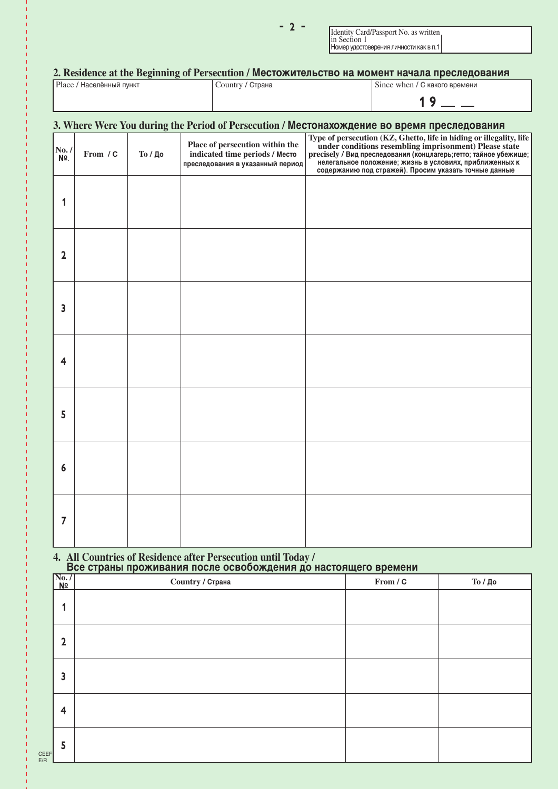Identity Card/Passport No. as written in Section 1 In Beetton<br>Номер удостоверения личности как в п.1

### 2. Residence at the Beginning of Persecution / Местожительство на момент начала преследования

| Place / Населённый пункт | Country / Страна | Since when / С какого времени |
|--------------------------|------------------|-------------------------------|
|                          |                  |                               |

## 3. Where Were You during the Period of Persecution / Местонахождение во время преследования **/ From / C/ No. / §**. **Place of persecution within the** indicated time periods / Mecro преследования в указанный период **Type of persecution (KZ, Ghetto, life in hiding or illegality, life under conditions resembling imprisonment) Please state** precisely / Вид преследования (концлагерь;гетто; тайное убежище; нелегальное положение; жизнь в условиях, приближенных к содержанию под стражей). Просим указать точные данные ± ≤ ≥ ¥ µ ∂ ∑  $To / \mu$ <sub>0</sub>

# **4. All Countries of Residence after Persecution until Today /<br>Все страны проживания после освобождения до настоящего времени**

|             | $\sqrt{\frac{\text{No. } I}{\text{No}}}$ | Country / Страна | From / C | То / До |
|-------------|------------------------------------------|------------------|----------|---------|
|             | 1                                        |                  |          |         |
|             | $\overline{\mathbf{2}}$                  |                  |          |         |
|             | 3                                        |                  |          |         |
|             | $\overline{\mathbf{4}}$                  |                  |          |         |
| CEEF<br>E/R | 5                                        |                  |          |         |

 $-2-$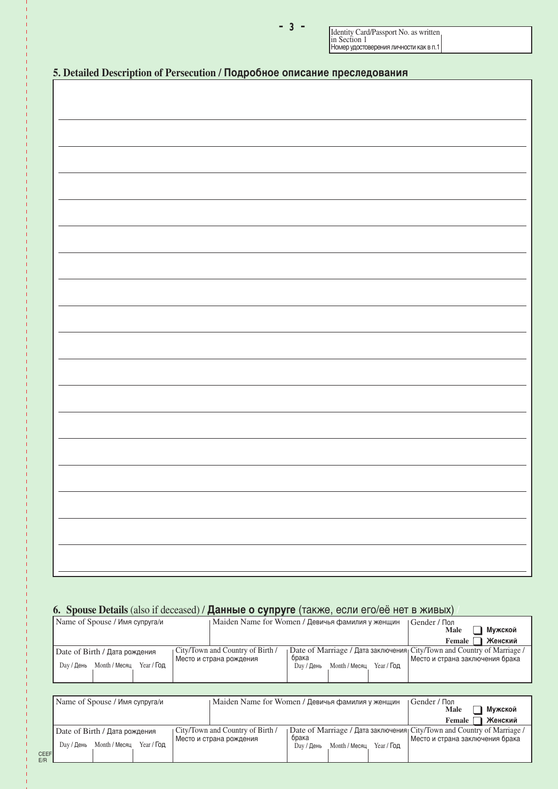Identity Card/Passport No. as written in Section 1<br>Номер удостоверения личности как в п.1

|  | 5. Detailed Description of Persecution / Подробное описание преследования |  |
|--|---------------------------------------------------------------------------|--|
|  |                                                                           |  |

## 6. Spouse Details (also if deceased) / Данные о супруге (также, если его/её нет в живых)

| Name of Spouse / Имя супруга/и                                                    | Maiden Name for Women / Девичья фамилия у женщин                                                                    | Gender / Пол<br>Мужской<br><b>Male</b>                                                                      |
|-----------------------------------------------------------------------------------|---------------------------------------------------------------------------------------------------------------------|-------------------------------------------------------------------------------------------------------------|
|                                                                                   |                                                                                                                     | Женский<br>Female                                                                                           |
| Date of Birth / Дата рождения<br>Year / <b>Год</b><br>Month / Месяц<br>Dav / День | City/Town and Country of Birth /<br>брака<br>Место и страна рождения<br>$Year /$ Год<br>Month / Месяц<br>Dav / День | Date of Marriage / Дата заключения City/Town and Country of Marriage /<br>  Место и страна заключения брака |

|             | Name of Spouse / Имя супруга/и                   |                                  | Maiden Name for Women / Девичья фамилия у женщин                       | Gender / Пол<br>Мужской<br>Male |
|-------------|--------------------------------------------------|----------------------------------|------------------------------------------------------------------------|---------------------------------|
|             |                                                  |                                  |                                                                        | Женский<br>Female               |
|             | Date of Birth / Дата рождения                    | City/Town and Country of Birth / | Date of Marriage / Дата заключения City/Town and Country of Marriage / |                                 |
|             | Year / <b>Год</b><br>Month / Месяц<br>Day / День | Место и страна рождения          | брака<br>$Year /$ Год<br>Month / Месяц<br>Day / День                   | Место и страна заключения брака |
| CEEF<br>F/R |                                                  |                                  |                                                                        |                                 |

≠††≥††≠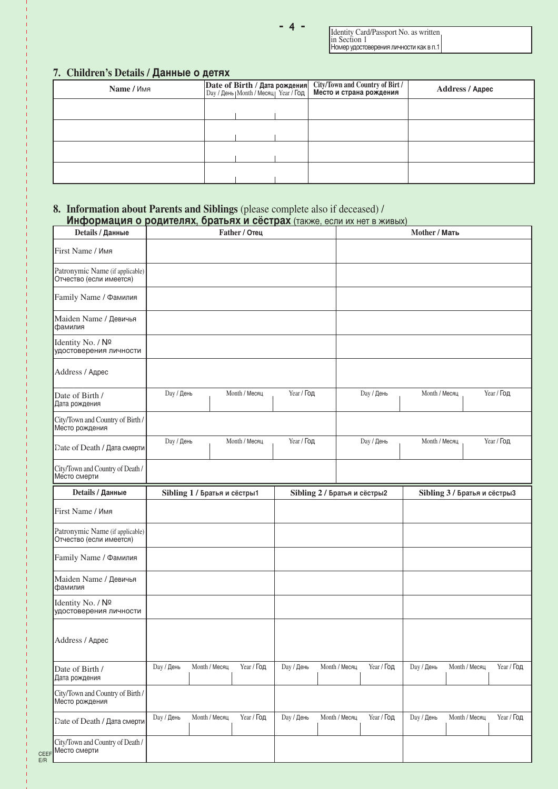Identity Card/Passport No. as written in Section 1<br>Номер удостоверения личности как в п.1

## 7. Children's Details / Данные о детях

| Name / Имя |  | Date of Birth / Дата рождения City/Town and Country of Birt / Day / День   Month / Месяц   Year / Год   Место и страна рождения | Address / Адрес |
|------------|--|---------------------------------------------------------------------------------------------------------------------------------|-----------------|
|            |  |                                                                                                                                 |                 |
|            |  |                                                                                                                                 |                 |
|            |  |                                                                                                                                 |                 |
|            |  |                                                                                                                                 |                 |

### **8. Information about Parents and Siblings** (please complete also if deceased) / **Информация о родителях, братьях и сёстрах** (также, если их нет в живых)

| Details / Данные                                           |                                    | Father / Отец |                   |               |                              | Mother / Мать     |                              |
|------------------------------------------------------------|------------------------------------|---------------|-------------------|---------------|------------------------------|-------------------|------------------------------|
| First Name / Имя                                           |                                    |               |                   |               |                              |                   |                              |
| Patronymic Name (if applicable)<br>Отчество (если имеется) |                                    |               |                   |               |                              |                   |                              |
| Family Name / Фамилия                                      |                                    |               |                   |               |                              |                   |                              |
| Maiden Name / Девичья<br>фамилия                           |                                    |               |                   |               |                              |                   |                              |
| Identity No. / Nº<br>удостоверения личности                |                                    |               |                   |               |                              |                   |                              |
| Address / Адрес                                            |                                    |               |                   |               |                              |                   |                              |
| Date of Birth /<br>Дата рождения                           | <b>Day / День</b>                  | Month / Месяц | Year / Год        |               | <b>Day / День</b>            | Month / Месяц     | Year / Год                   |
| City/Town and Country of Birth /<br>Место рождения         |                                    |               |                   |               |                              |                   |                              |
| Date of Death / Дата смерти                                | <b>Day / День</b>                  | Month / Месяц | <b>Year / Год</b> |               | <b>Day / День</b>            | Month / Месяц     | Year / Год                   |
| City/Town and Country of Death /<br>Место смерти           |                                    |               |                   |               |                              |                   |                              |
| Details / Данные                                           | Sibling 1 / Братья и сёстры1       |               |                   |               | Sibling 2 / Братья и сёстры2 |                   | Sibling 3 / Братья и сёстры3 |
| First Name / Имя                                           |                                    |               |                   |               |                              |                   |                              |
| Patronymic Name (if applicable)<br>Отчество (если имеется) |                                    |               |                   |               |                              |                   |                              |
| Family Name / Фамилия                                      |                                    |               |                   |               |                              |                   |                              |
| Maiden Name / Девичья<br>фамилия                           |                                    |               |                   |               |                              |                   |                              |
| Identity No. / Nº<br>удостоверения личности                |                                    |               |                   |               |                              |                   |                              |
| Address / Адрес                                            |                                    |               |                   |               |                              |                   |                              |
| Date of Birth /<br>Дата рождения                           | <b>Day / День</b><br>Month / Месяц | Year / Год    | <b>Day / День</b> | Month / Месяц | Year / Год                   | <b>Day / День</b> | Year / Год<br>Month / Месяц  |
| City/Town and Country of Birth /<br>Место рождения         |                                    |               |                   |               |                              |                   |                              |
| Date of Death / Дата смерти                                | <b>Day / День</b><br>Month / Месяц | Year / Год    | <b>Day / День</b> | Month / Месяц | Year / Год                   | <b>Day / День</b> | Month / Месяц<br>Year / Год  |
| City/Town and Country of Death /<br>Место смерти           |                                    |               |                   |               |                              |                   |                              |

CEEF E/R